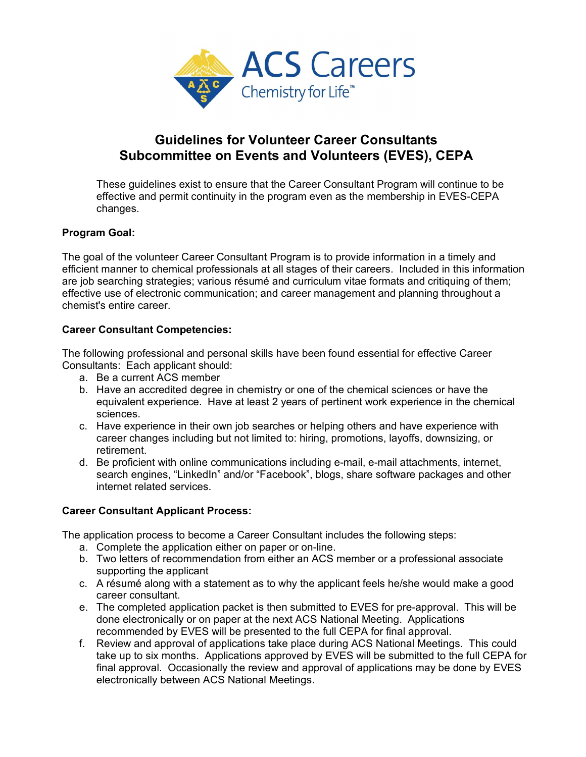

# **Guidelines for Volunteer Career Consultants Subcommittee on Events and Volunteers (EVES), CEPA**

These guidelines exist to ensure that the Career Consultant Program will continue to be effective and permit continuity in the program even as the membership in EVES-CEPA changes.

# **Program Goal:**

The goal of the volunteer Career Consultant Program is to provide information in a timely and efficient manner to chemical professionals at all stages of their careers. Included in this information are job searching strategies; various résumé and curriculum vitae formats and critiquing of them; effective use of electronic communication; and career management and planning throughout a chemist's entire career.

## **Career Consultant Competencies:**

The following professional and personal skills have been found essential for effective Career Consultants: Each applicant should:

- a. Be a current ACS member
- b. Have an accredited degree in chemistry or one of the chemical sciences or have the equivalent experience. Have at least 2 years of pertinent work experience in the chemical sciences.
- c. Have experience in their own job searches or helping others and have experience with career changes including but not limited to: hiring, promotions, layoffs, downsizing, or retirement.
- d. Be proficient with online communications including e-mail, e-mail attachments, internet, search engines, "LinkedIn" and/or "Facebook", blogs, share software packages and other internet related services.

## **Career Consultant Applicant Process:**

The application process to become a Career Consultant includes the following steps:

- a. Complete the application either on paper or on-line.
- b. Two letters of recommendation from either an ACS member or a professional associate supporting the applicant
- c. A résumé along with a statement as to why the applicant feels he/she would make a good career consultant.
- e. The completed application packet is then submitted to EVES for pre-approval. This will be done electronically or on paper at the next ACS National Meeting. Applications recommended by EVES will be presented to the full CEPA for final approval.
- f. Review and approval of applications take place during ACS National Meetings. This could take up to six months. Applications approved by EVES will be submitted to the full CEPA for final approval. Occasionally the review and approval of applications may be done by EVES electronically between ACS National Meetings.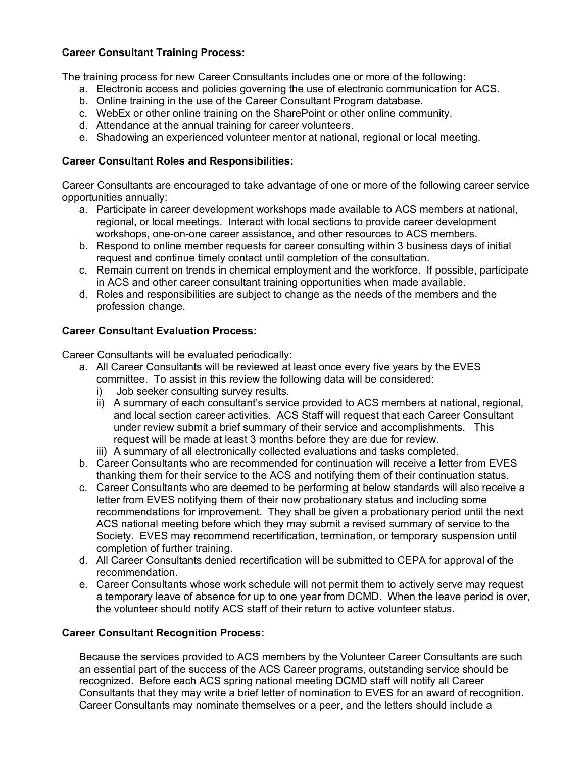## **Career Consultant Training Process:**

The training process for new Career Consultants includes one or more of the following:

- a. Electronic access and policies governing the use of electronic communication for ACS.
- b. Online training in the use of the Career Consultant Program database.
- c. WebEx or other online training on the SharePoint or other online community.
- d. Attendance at the annual training for career volunteers.
- e. Shadowing an experienced volunteer mentor at national, regional or local meeting.

## **Career Consultant Roles and Responsibilities:**

Career Consultants are encouraged to take advantage of one or more of the following career service opportunities annually:

- a. Participate in career development workshops made available to ACS members at national, regional, or local meetings. Interact with local sections to provide career development workshops, one-on-one career assistance, and other resources to ACS members.
- b. Respond to online member requests for career consulting within 3 business days of initial request and continue timely contact until completion of the consultation.
- c. Remain current on trends in chemical employment and the workforce. If possible, participate in ACS and other career consultant training opportunities when made available.
- d. Roles and responsibilities are subject to change as the needs of the members and the profession change.

# **Career Consultant Evaluation Process:**

Career Consultants will be evaluated periodically:

- a. All Career Consultants will be reviewed at least once every five years by the EVES committee. To assist in this review the following data will be considered:
	- i) Job seeker consulting survey results.
	- ii) A summary of each consultant's service provided to ACS members at national, regional, and local section career activities. ACS Staff will request that each Career Consultant under review submit a brief summary of their service and accomplishments. This request will be made at least 3 months before they are due for review.
	- iii) A summary of all electronically collected evaluations and tasks completed.
- b. Career Consultants who are recommended for continuation will receive a letter from EVES thanking them for their service to the ACS and notifying them of their continuation status.
- c. Career Consultants who are deemed to be performing at below standards will also receive a letter from EVES notifying them of their now probationary status and including some recommendations for improvement. They shall be given a probationary period until the next ACS national meeting before which they may submit a revised summary of service to the Society. EVES may recommend recertification, termination, or temporary suspension until completion of further training.
- d. All Career Consultants denied recertification will be submitted to CEPA for approval of the recommendation.
- e. Career Consultants whose work schedule will not permit them to actively serve may request a temporary leave of absence for up to one year from DCMD. When the leave period is over, the volunteer should notify ACS staff of their return to active volunteer status.

## **Career Consultant Recognition Process:**

Because the services provided to ACS members by the Volunteer Career Consultants are such an essential part of the success of the ACS Career programs, outstanding service should be recognized. Before each ACS spring national meeting DCMD staff will notify all Career Consultants that they may write a brief letter of nomination to EVES for an award of recognition. Career Consultants may nominate themselves or a peer, and the letters should include a